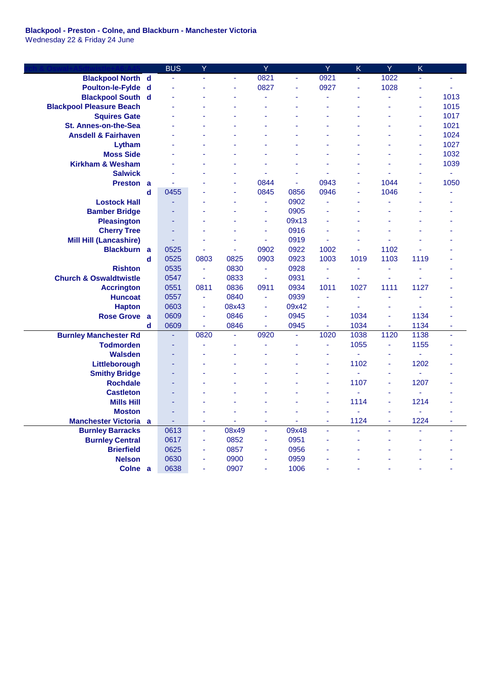## **Blackpool - Preston - Colne, and Blackburn - Manchester Victoria** Wednesday 22 & Friday 24 June

**Church & Oswal+A5dtwistle+A6:A45** BUS Y Y Y K Y K **Blackpool North d** - - - 0821 - 0921 - 1022 - - **Poulton-le-Fylde d** - - - 0827 - 0927 - 1028 - - **Blackpool South d** - - - - - - - - - 1013 **Blackpool Pleasure Beach According to the Contract of the Contract of the Contract of the Contract of the Contract of the Contract of the Contract of the Contract of the Contract of the Contract of the Contract of the Con Squires Gate 1017 Contract Contract Contract Contract Contract Contract Contract Contract Contract Contract Contract Contract Contract Contract Contract Contract Contract Contract Contract Contract Contract Contract C St. Annes-on-the-Sea** - - - - - - - - - 1021 **Ansdell & Fairhaven - - - - - - - - - - - - - - - 1024 Lytham** - - - - - - - - - 1027 **Moss Side** - - - - - - - - - 1032 **Kirkham & Wesham - - - - - - - - - - - - - - - - - 1039 Salwick** - - - - - - - - - - **Preston a** - - - 0844 - 0943 - 1044 - 1050 **d** 0455 - - 0845 0856 0946 - 1046 - - **Lostock Hall**  $\qquad \qquad \qquad \qquad \qquad \qquad \qquad \qquad -$  0902  $\qquad \qquad \qquad \qquad -$ **Bamber Bridge 1998 - 1998 - 1999 - 1999 - 1999 - 1999 - 1999 - 1999 - 1999 - 1999 - 1999 - 1999 - 1999 - 1999 - 1999 - 1999 - 1999 - 1999 - 1999 - 1999 - 1999 - 1999 - 1999 - 1999 - 1999 - 1999 - 1999 - 1999 - 1999 - 19 Pleasington** - - - - - - 09x13 - - - -**Cherry Tree 1998** - 1998 - 1999 - 1999 - 1999 - 1999 - 1999 - 1999 - 1999 - 1999 - 1999 - 1999 - 1999 - 1999 - 1999 - 1999 - 1999 - 1999 - 1999 - 1999 - 1999 - 1999 - 1999 - 1999 - 1999 - 1999 - 1999 - 1999 - 1999 - 199 **Mill Hill (Lancashire)**  $\qquad \qquad \qquad \qquad \qquad \qquad -$  0919  $\qquad \qquad \qquad \qquad -$ **Blackburn a** 0525 - - 0902 0922 1002 - 1102 - **d** 0525 0803 0825 0903 0923 1003 1019 1103 1119 - **Rishton** 0535 - 0830 - 0928 - - - - - - -**Church & Oswaldtwistle** 0547 - 0833 - 0931 - - - - - **Accrington** 0551 0811 0836 0911 0934 1011 1027 1111 1127 - **Huncoat** 0557 - 0840 - 0939 - - - - - **Hapton** 0603 - 08x43 - 09x42 - - - - - **Rose Grove a** 0609 - 0846 - 0945 - 1034 - 1134 **d** 0609 - 0846 - 0945 - 1034 - 1134 - **Burnley Manchester Rd** - 0820 - 0920 - 1020 1038 1120 1138 - **Todmorden** - - - - - - - - - 1055 - 1155 -**Walsden** - - - - - - - - - - **Littleborough** - - - - - - 1102 - 1202 - **Smithy Bridge 1999 - 1999 - 1999 - 1999 - 1999 - 1999 - 1999 - 1999 - 1999 - 1999 - 1999 - 1999 - 1999 - 1999 - 1999 - 1999 - 1999 - 1999 - 1999 - 1999 - 1999 - 1999 - 1999 - 1999 - 1999 - 1999 - 1999 - 1999 - 1999 - 19 Rochdale** - - - - - - 1107 - 1207 - **Castleton** - - - - - - - - - - - - - - - - - -**Mills Hill** - - - - - - 1114 - 1214 - **Moston** - - - - - - - - - - - - - - - - -**Manchester Victoria a** - - - - - - 1124 - 1224 - **Burnley Barracks** 0613 - 08x49 - 09x48 - - - - - -**Burnley Central** 0617 - 0852 - 0951 - - - - - **Brierfield** 0625 - 0857 - 0956 - - - - - -**Nelson** 0630 - 0900 - 0959 - - - - - - -**Colne a** 0638 - 0907 - 1006 - - - - -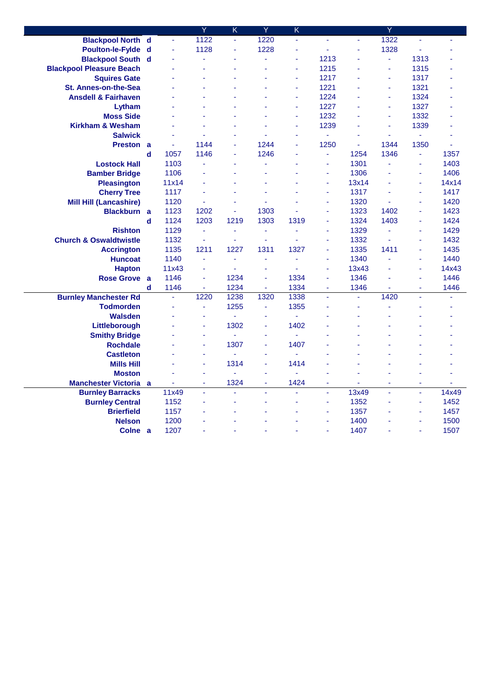|                                   |             |       | Ÿ    | $\overline{\mathsf{K}}$ | Ÿ    | $\overline{\mathsf{K}}$ |                |       | Ÿ    |                |       |
|-----------------------------------|-------------|-------|------|-------------------------|------|-------------------------|----------------|-------|------|----------------|-------|
| <b>Blackpool North d</b>          |             | ä,    | 1122 | ä,                      | 1220 | ä,                      | ä,             | ä,    | 1322 | ä,             | ä,    |
| Poulton-le-Fylde d                |             | ä,    | 1128 | $\blacksquare$          | 1228 | ä,                      | ÷.             | ÷,    | 1328 | ä,             |       |
| <b>Blackpool South d</b>          |             | ä,    | ä,   |                         | ä,   | L,                      | 1213           |       | ä,   | 1313           |       |
| <b>Blackpool Pleasure Beach</b>   |             |       | ä,   |                         |      | ä,                      | 1215           |       | l,   | 1315           |       |
| <b>Squires Gate</b>               |             |       | ä,   |                         |      | ä,                      | 1217           |       | ä,   | 1317           |       |
| St. Annes-on-the-Sea              |             |       |      |                         |      | ä,                      | 1221           |       | ä,   | 1321           |       |
| <b>Ansdell &amp; Fairhaven</b>    |             |       |      |                         |      | L,                      | 1224           |       | ä,   | 1324           |       |
| Lytham                            |             |       |      |                         |      | ä,                      | 1227           |       | ä,   | 1327           |       |
| <b>Moss Side</b>                  |             |       |      |                         |      | ÷,                      | 1232           |       | ä,   | 1332           |       |
| <b>Kirkham &amp; Wesham</b>       |             |       |      |                         |      | ä,                      | 1239           |       | ä,   | 1339           |       |
| <b>Salwick</b>                    |             |       |      |                         |      | L,                      | $\blacksquare$ |       | ä,   | $\omega$       | ä,    |
| <b>Preston a</b>                  |             | ä,    | 1144 |                         | 1244 | L                       | 1250           | ä,    | 1344 | 1350           | ä,    |
|                                   | $\mathbf d$ | 1057  | 1146 | $\sim$                  | 1246 | L,                      | ä,             | 1254  | 1346 | $\blacksquare$ | 1357  |
| <b>Lostock Hall</b>               |             | 1103  |      |                         |      |                         | ÷.             | 1301  |      | ÷              | 1403  |
| <b>Bamber Bridge</b>              |             | 1106  |      |                         |      |                         | ä,             | 1306  |      | ÷,             | 1406  |
| <b>Pleasington</b>                |             | 11x14 |      |                         |      |                         | ä,             | 13x14 |      | ä,             | 14x14 |
| <b>Cherry Tree</b>                |             | 1117  |      |                         | ä,   |                         | $\blacksquare$ | 1317  |      | $\blacksquare$ | 1417  |
| <b>Mill Hill (Lancashire)</b>     |             | 1120  | ä,   |                         |      |                         | ä,             | 1320  |      | ä,             | 1420  |
| Blackburn a                       |             | 1123  | 1202 | ä,                      | 1303 |                         | ä,             | 1323  | 1402 | ä,             | 1423  |
|                                   | $\mathbf d$ | 1124  | 1203 | 1219                    | 1303 | 1319                    | ä,             | 1324  | 1403 | ä,             | 1424  |
| <b>Rishton</b>                    |             | 1129  | ä,   | $\blacksquare$          | ä,   | ä,                      | $\blacksquare$ | 1329  | ä,   | ä,             | 1429  |
| <b>Church &amp; Oswaldtwistle</b> |             | 1132  | ä,   | ä,                      | ä,   | ä,                      | ä,             | 1332  |      | ä,             | 1432  |
| <b>Accrington</b>                 |             | 1135  | 1211 | 1227                    | 1311 | 1327                    | ä,             | 1335  | 1411 | ä,             | 1435  |
| <b>Huncoat</b>                    |             | 1140  | ä,   | ä,                      | ä,   | ä,                      | ä,             | 1340  |      | ä,             | 1440  |
| <b>Hapton</b>                     |             | 11x43 | ä,   | $\blacksquare$          | ä,   | L,                      | ä,             | 13x43 |      | ä,             | 14x43 |
| Rose Grove a                      |             | 1146  | ä,   | 1234                    | ä,   | 1334                    |                | 1346  |      | ä,             | 1446  |
|                                   | d           | 1146  | ä,   | 1234                    | ä,   | 1334                    | ä,             | 1346  |      | ÷              | 1446  |
| <b>Burnley Manchester Rd</b>      |             | ä,    | 1220 | 1238                    | 1320 | 1338                    | ä,             | ä,    | 1420 | ä,             | ä,    |
| <b>Todmorden</b>                  |             | ä,    | ä,   | 1255                    | ä,   | 1355                    |                | ä,    | L,   | ä,             |       |
| <b>Walsden</b>                    |             |       |      | ä,                      |      | ä,                      |                |       |      |                |       |
| Littleborough                     |             |       | ä,   | 1302                    | ä,   | 1402                    |                |       |      |                |       |
| <b>Smithy Bridge</b>              |             |       | ä,   | ä                       | ä,   | ä,                      |                |       |      |                |       |
| <b>Rochdale</b>                   |             |       | ä,   | 1307                    | ä,   | 1407                    |                |       |      |                |       |
| <b>Castleton</b>                  |             |       | ä,   | $\omega$                | Ĺ,   | ä,                      |                |       |      |                |       |
| <b>Mills Hill</b>                 |             |       | ä,   | 1314                    | L,   | 1414                    |                |       |      |                |       |
| <b>Moston</b>                     |             |       | ä,   |                         | ä,   | L,                      |                |       |      | ä,             |       |
| <b>Manchester Victoria</b> a      |             | ä,    | ÷    | 1324                    | ÷    | 1424                    | Ξ              |       | ä,   | ÷              | ä,    |
| <b>Burnley Barracks</b>           |             | 11x49 | L,   | ä,                      | L,   | L,                      | ä,             | 13x49 | L.   | ä,             | 14x49 |
| <b>Burnley Central</b>            |             | 1152  |      |                         | ż    | L                       | ä,             | 1352  |      | ÷              | 1452  |
| <b>Brierfield</b>                 |             | 1157  |      |                         |      |                         | ä,             | 1357  |      | ä,             | 1457  |
| <b>Nelson</b>                     |             | 1200  |      |                         |      |                         | ä,             | 1400  |      | ä,             | 1500  |
| Colne a                           |             | 1207  |      |                         |      |                         |                | 1407  |      | ä,             | 1507  |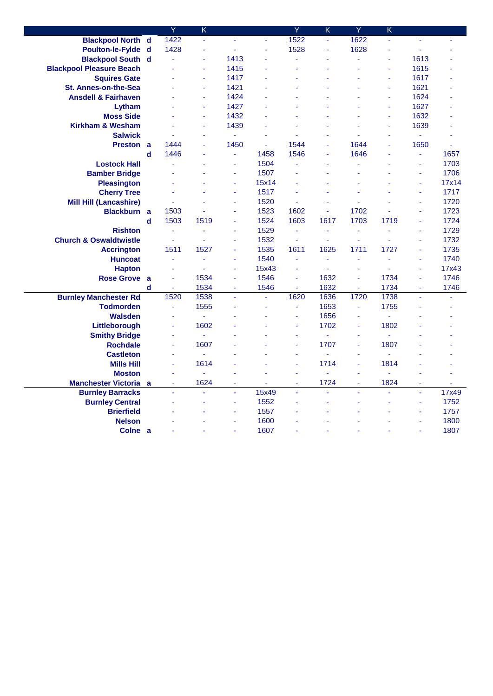|                                   |             | Ÿ              | $\overline{\mathsf{K}}$ |      |       | Ÿ    | K    | Ÿ    | $\overline{\mathsf{K}}$ |      |       |
|-----------------------------------|-------------|----------------|-------------------------|------|-------|------|------|------|-------------------------|------|-------|
| <b>Blackpool North d</b>          |             | 1422           | ä,                      | ä,   | ä,    | 1522 | ä,   | 1622 | L.                      | ÷,   | ä,    |
| Poulton-le-Fylde d                |             | 1428           | $\omega$                | ä,   |       | 1528 | ä,   | 1628 |                         | ä,   |       |
| <b>Blackpool South d</b>          |             | ä,             | L,                      | 1413 |       |      | ä,   | ä,   | ä,                      | 1613 |       |
| <b>Blackpool Pleasure Beach</b>   |             |                | ä,                      | 1415 |       |      | L,   | L,   | ä,                      | 1615 |       |
| <b>Squires Gate</b>               |             |                | ä,                      | 1417 |       |      | L,   | L,   | ä,                      | 1617 |       |
| St. Annes-on-the-Sea              |             |                | ä,                      | 1421 |       |      |      |      | ÷.                      | 1621 |       |
| <b>Ansdell &amp; Fairhaven</b>    |             |                | L,                      | 1424 |       |      |      |      | ä,                      | 1624 |       |
| Lytham                            |             |                | ä,                      | 1427 |       |      |      | L,   | ä,                      | 1627 |       |
| <b>Moss Side</b>                  |             |                | ä,                      | 1432 |       |      | ä,   |      | ä,                      | 1632 |       |
| <b>Kirkham &amp; Wesham</b>       |             |                | ä,                      | 1439 |       |      |      |      | ÷.                      | 1639 |       |
| <b>Salwick</b>                    |             |                | ä,                      | ÷.   |       |      | ä,   |      | ä,                      | ä,   |       |
| <b>Preston a</b>                  |             | 1444           | ä,                      | 1450 | ä,    | 1544 | ä,   | 1644 |                         | 1650 |       |
|                                   | d           | 1446           | ä,                      | Ξ    | 1458  | 1546 | ä,   | 1646 | ä,                      | ÷,   | 1657  |
| <b>Lostock Hall</b>               |             |                |                         | ä,   | 1504  |      |      |      |                         | ä,   | 1703  |
| <b>Bamber Bridge</b>              |             |                |                         | ä,   | 1507  |      |      |      |                         | ÷,   | 1706  |
| <b>Pleasington</b>                |             |                |                         | ä,   | 15x14 |      |      | L,   |                         | ä,   | 17x14 |
| <b>Cherry Tree</b>                |             | ä              |                         | ÷,   | 1517  |      | ä,   | L    |                         | ä,   | 1717  |
| <b>Mill Hill (Lancashire)</b>     |             | ä,             |                         | ä,   | 1520  |      |      |      |                         | ä,   | 1720  |
| Blackburn a                       |             | 1503           |                         | L,   | 1523  | 1602 | ä,   | 1702 |                         | ä,   | 1723  |
|                                   | d           | 1503           | 1519                    | ä,   | 1524  | 1603 | 1617 | 1703 | 1719                    | ä,   | 1724  |
| <b>Rishton</b>                    |             | ä,             | ä,                      | ä,   | 1529  | ä,   | ÷    | ä,   | ä,                      | ä,   | 1729  |
| <b>Church &amp; Oswaldtwistle</b> |             | ä,             | ä,                      | ä,   | 1532  | ä,   | ÷,   | ä,   |                         | ä,   | 1732  |
| <b>Accrington</b>                 |             | 1511           | 1527                    | ä,   | 1535  | 1611 | 1625 | 1711 | 1727                    | ÷    | 1735  |
| <b>Huncoat</b>                    |             | ä,             | ä,                      | L,   | 1540  | ä,   | ä,   | ä,   |                         | ä,   | 1740  |
| <b>Hapton</b>                     |             | ä              | ä,                      | ä,   | 15x43 | ä,   | L    | ä,   |                         | ä,   | 17x43 |
| <b>Rose Grove</b>                 | <b>a</b>    |                | 1534                    | ä,   | 1546  |      | 1632 | ä,   | 1734                    | ä,   | 1746  |
|                                   | $\mathbf d$ | $\blacksquare$ | 1534                    | ÷,   | 1546  | ä,   | 1632 | ä,   | 1734                    | ÷    | 1746  |
| <b>Burnley Manchester Rd</b>      |             | 1520           | 1538                    | ä,   | ä,    | 1620 | 1636 | 1720 | 1738                    | ä,   |       |
| <b>Todmorden</b>                  |             | ä,             | 1555                    | ä,   | ä,    | ä,   | 1653 | ä,   | 1755                    | ä,   |       |
| <b>Walsden</b>                    |             |                | ÷.                      |      |       | ä,   | 1656 |      |                         |      |       |
| Littleborough                     |             | ä,             | 1602                    |      |       |      | 1702 | ä,   | 1802                    |      |       |
| <b>Smithy Bridge</b>              |             | ä,             | ä,                      |      |       | ä,   | ÷.   | ä,   | ä,                      |      |       |
| <b>Rochdale</b>                   |             | ä,             | 1607                    |      |       | ä,   | 1707 | ÷    | 1807                    |      |       |
| <b>Castleton</b>                  |             | ä              | ä,                      |      |       | ä    | ÷.   | ä,   | ä,                      |      |       |
| <b>Mills Hill</b>                 |             | ä,             | 1614                    |      |       |      | 1714 | L,   | 1814                    |      |       |
| <b>Moston</b>                     |             | ä,             | ä,                      |      |       | ä    | L,   | ä,   |                         |      |       |
| <b>Manchester Victoria</b>        | a           | ÷              | 1624                    | ٠    | ÷     | ÷    | 1724 | ٠    | 1824                    | ÷    | ÷     |
| <b>Burnley Barracks</b>           |             | ä,             | L.                      | ÷,   | 15x49 | L,   | ä,   | ä,   |                         | ä,   | 17x49 |
| <b>Burnley Central</b>            |             |                |                         | L,   | 1552  |      | ä,   | ä,   |                         | ÷,   | 1752  |
| <b>Brierfield</b>                 |             |                |                         | ä,   | 1557  |      |      |      |                         | ä,   | 1757  |
| <b>Nelson</b>                     |             |                |                         | ä,   | 1600  |      |      |      |                         | ä,   | 1800  |
| Colne a                           |             |                |                         | ä,   | 1607  |      |      |      |                         | ä,   | 1807  |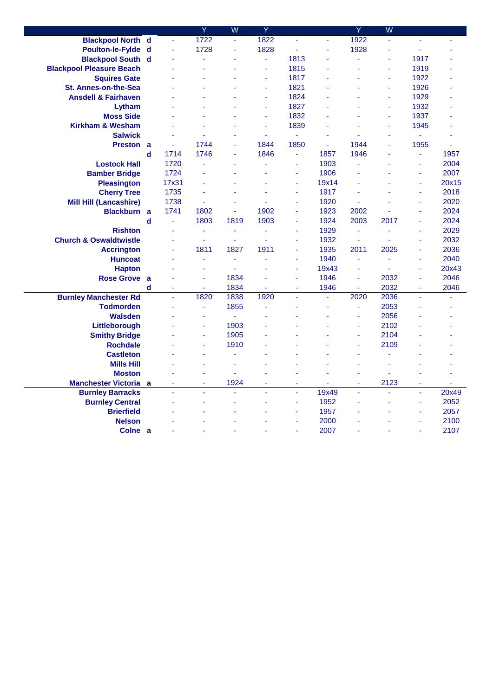|                                   |          |          | Ÿ    | W    | Ÿ              |      |          | Ÿ    | $\overline{\mathsf{W}}$ |                       |       |
|-----------------------------------|----------|----------|------|------|----------------|------|----------|------|-------------------------|-----------------------|-------|
| <b>Blackpool North d</b>          |          | $\omega$ | 1722 | ä,   | 1822           | L,   | ä,       | 1922 | ä,                      | ä,                    | ÷.    |
| Poulton-le-Fylde d                |          | ÷,       | 1728 | ä,   | 1828           | ä,   | ä,       | 1928 | ä,                      | ä,                    |       |
| <b>Blackpool South d</b>          |          |          | ä,   |      | ä,             | 1813 | ÷.       | ä,   |                         | 1917                  |       |
| <b>Blackpool Pleasure Beach</b>   |          |          | ä,   |      | ä,             | 1815 | ä,       | ä,   | ä,                      | 1919                  |       |
| <b>Squires Gate</b>               |          |          | L,   |      | $\blacksquare$ | 1817 | ä,       | ٠    | ä,                      | 1922                  |       |
| <b>St. Annes-on-the-Sea</b>       |          |          | ÷    |      | $\blacksquare$ | 1821 |          | ٠    | ä,                      | 1926                  |       |
| <b>Ansdell &amp; Fairhaven</b>    |          |          |      |      |                | 1824 |          |      |                         | 1929                  |       |
| Lytham                            |          |          |      |      | ä,             | 1827 | ä        |      | L,                      | 1932                  |       |
| <b>Moss Side</b>                  |          |          |      |      | ä,             | 1832 | L,       |      | ä,                      | 1937                  |       |
| <b>Kirkham &amp; Wesham</b>       |          |          | L,   |      | ÷              | 1839 |          | ٠    | ä,                      | 1945                  |       |
| <b>Salwick</b>                    |          |          |      | ä,   |                | ä,   | L,       |      |                         | ÷.                    |       |
| <b>Preston a</b>                  |          | ä,       | 1744 | L,   | 1844           | 1850 | ä,       | 1944 |                         | 1955                  | ä,    |
|                                   | d        | 1714     | 1746 | ÷,   | 1846           | ä,   | 1857     | 1946 |                         | $\blacksquare$        | 1957  |
| <b>Lostock Hall</b>               |          | 1720     | L,   |      |                | ä,   | 1903     |      |                         | ÷                     | 2004  |
| <b>Bamber Bridge</b>              |          | 1724     |      |      |                | ä,   | 1906     |      |                         | $\tilde{\phantom{a}}$ | 2007  |
| <b>Pleasington</b>                |          | 17x31    |      |      |                | ä,   | 19x14    | ä,   |                         | ä,                    | 20x15 |
| <b>Cherry Tree</b>                |          | 1735     | Ĺ,   | ä,   |                | ä,   | 1917     | ä,   |                         | ä,                    | 2018  |
| <b>Mill Hill (Lancashire)</b>     |          | 1738     | ä,   | ä,   |                | ä,   | 1920     | ä,   |                         | $\tilde{\phantom{a}}$ | 2020  |
| Blackburn a                       |          | 1741     | 1802 | L,   | 1902           | ä,   | 1923     | 2002 |                         | ä,                    | 2024  |
|                                   | d        | ä,       | 1803 | 1819 | 1903           | l,   | 1924     | 2003 | 2017                    | ä,                    | 2024  |
| <b>Rishton</b>                    |          | ä        | ÷,   | Ξ    | ä,             | ä,   | 1929     | ä,   | ä,                      | ä,                    | 2029  |
| <b>Church &amp; Oswaldtwistle</b> |          |          | ä,   | ä,   | ä,             | ä,   | 1932     | ÷,   |                         | ä,                    | 2032  |
| <b>Accrington</b>                 |          |          | 1811 | 1827 | 1911           | ä,   | 1935     | 2011 | 2025                    | ä,                    | 2036  |
| <b>Huncoat</b>                    |          | ä,       | ä,   | ä,   | ä,             | ä,   | 1940     | ä,   | L,                      | $\tilde{\phantom{a}}$ | 2040  |
| <b>Hapton</b>                     |          |          | ä,   | ÷,   |                | ä,   | 19x43    | ä,   |                         | ä,                    | 20x43 |
| <b>Rose Grove</b>                 | <b>a</b> |          | ä,   | 1834 |                | ä,   | 1946     | ä,   | 2032                    | ÷                     | 2046  |
|                                   | d        |          | ÷    | 1834 | ä,             | ä,   | 1946     | ÷,   | 2032                    | ä,                    | 2046  |
| <b>Burnley Manchester Rd</b>      |          | ä,       | 1820 | 1838 | 1920           | L,   | $\omega$ | 2020 | 2036                    | ä,                    | ä,    |
| <b>Todmorden</b>                  |          |          | ÷,   | 1855 | ä,             |      | ä,       | ä,   | 2053                    | ä,                    |       |
| <b>Walsden</b>                    |          |          | ä,   | ÷.   |                |      |          | ä,   | 2056                    |                       |       |
| Littleborough                     |          |          | ä,   | 1903 |                |      |          | ä,   | 2102                    |                       |       |
| <b>Smithy Bridge</b>              |          |          | ä,   | 1905 |                |      | L,       | ä,   | 2104                    |                       |       |
| <b>Rochdale</b>                   |          |          | ä,   | 1910 |                |      |          | ä,   | 2109                    |                       |       |
| <b>Castleton</b>                  |          |          | L,   | ä.   |                |      |          | ٠    |                         |                       |       |
| <b>Mills Hill</b>                 |          |          | ٠    | ٠    |                |      | ä,       | ٠    |                         |                       |       |
| <b>Moston</b>                     |          |          | ä,   | ä,   |                |      | L,       | ٠    |                         | ÷                     | L,    |
| <b>Manchester Victoria a</b>      |          | ä,       | ä,   | 1924 | $\sim$         | ä,   |          | ä,   | 2123                    | ä,                    |       |
| <b>Burnley Barracks</b>           |          | ä,       | L,   | ä,   |                | L.   | 19x49    | L,   |                         | $\omega$              | 20x49 |
| <b>Burnley Central</b>            |          |          | ä    |      |                | ä,   | 1952     |      |                         | $\tilde{\phantom{a}}$ | 2052  |
| <b>Brierfield</b>                 |          |          | L,   |      |                | ä,   | 1957     |      |                         | $\sim$                | 2057  |
| <b>Nelson</b>                     |          |          |      |      |                | ä,   | 2000     |      |                         | ä,                    | 2100  |
| Colne a                           |          |          |      |      |                |      | 2007     |      |                         | ä,                    | 2107  |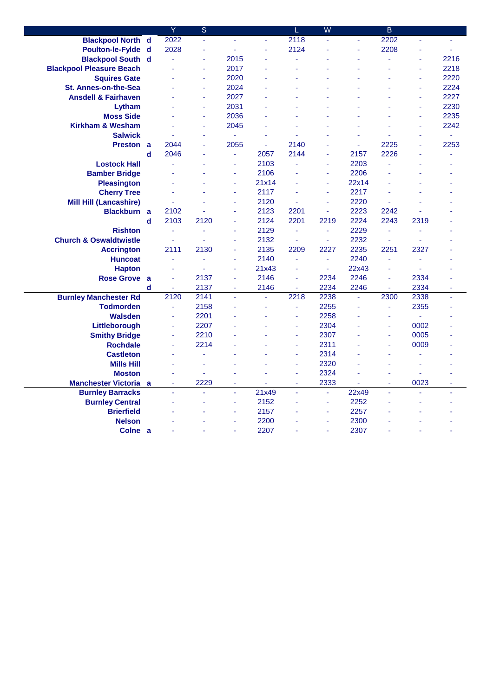|                                    |   | Ÿ                        | $\overline{\mathbf{S}}$  |                       |              |         | $\overline{W}$ |               | $\overline{B}$ |            |      |
|------------------------------------|---|--------------------------|--------------------------|-----------------------|--------------|---------|----------------|---------------|----------------|------------|------|
| <b>Blackpool North d</b>           |   | 2022                     | ä,                       | ä,                    | ä,           | 2118    | ä,             | ä,            | 2202           |            | ä,   |
| Poulton-le-Fylde d                 |   | 2028                     | ä,                       | L                     | ä,           | 2124    |                | ä,            | 2208           |            | ä,   |
| <b>Blackpool South d</b>           |   |                          | ä,                       | 2015                  |              | ä,      |                |               | ä,             | ä,         | 2216 |
| <b>Blackpool Pleasure Beach</b>    |   |                          | ä,                       | 2017                  | ä            |         |                |               |                | ä,         | 2218 |
| <b>Squires Gate</b>                |   |                          | ä,                       | 2020                  |              |         |                |               |                | ÷          | 2220 |
| <b>St. Annes-on-the-Sea</b>        |   |                          | ä,                       | 2024                  |              |         |                |               |                | ä,         | 2224 |
| <b>Ansdell &amp; Fairhaven</b>     |   |                          | ÷,                       | 2027                  |              |         |                |               |                | ä,         | 2227 |
| Lytham                             |   |                          | ä,                       | 2031                  | ä,           | ä,      |                |               |                | ÷,         | 2230 |
| <b>Moss Side</b>                   |   |                          | ä,                       | 2036                  |              |         |                |               |                | ÷          | 2235 |
| <b>Kirkham &amp; Wesham</b>        |   |                          | ä,                       | 2045                  | ä            |         |                |               |                | ä,         | 2242 |
| <b>Salwick</b>                     |   |                          | $\overline{\phantom{a}}$ | $\omega$              | ä,           |         |                |               |                | ä,         | ÷,   |
| Preston a                          |   | 2044                     | L,                       | 2055                  | ä,           | 2140    |                | ٠             | 2225           | ä,         | 2253 |
|                                    | d | 2046                     | $\overline{\phantom{a}}$ | ä,                    | 2057         | 2144    | ÷.             | 2157          | 2226           | ä,         | ٠    |
| <b>Lostock Hall</b>                |   |                          |                          | ÷,                    | 2103         | ä,      | $\sim$         | 2203          | ä              |            |      |
| <b>Bamber Bridge</b>               |   |                          |                          | ÷.                    | 2106         |         | ÷.             | 2206          |                |            |      |
| <b>Pleasington</b>                 |   |                          |                          | $\blacksquare$        | 21x14        |         | $\blacksquare$ | 22x14         |                |            |      |
| <b>Cherry Tree</b>                 |   |                          |                          | ÷,                    | 2117         |         | $\blacksquare$ | 2217          |                |            |      |
| <b>Mill Hill (Lancashire)</b>      |   |                          |                          | ÷,                    | 2120         | ä,      | $\sim$         | 2220          | ä,             |            |      |
| <b>Blackburn</b> a                 |   | 2102                     |                          | ä,                    | 2123         | 2201    | ä,             | 2223          | 2242           |            |      |
|                                    | d | 2103                     | 2120                     | ä,                    | 2124         | 2201    | 2219           | 2224          | 2243           | 2319       |      |
| <b>Rishton</b>                     |   | ä,                       | ä,                       | ä,                    | 2129         | ä,      | ä,             | 2229          | ä,             | $\sim$     |      |
| <b>Church &amp; Oswaldtwistle</b>  |   |                          |                          | ä,                    | 2132         | ÷,      | $\blacksquare$ | 2232          | ä,             |            |      |
| <b>Accrington</b>                  |   | 2111                     | 2130                     | ä,                    | 2135         | 2209    | 2227           | 2235          | 2251           | 2327       |      |
| <b>Huncoat</b>                     |   | ä,                       |                          | ä,                    | 2140         | ä,      | $\blacksquare$ | 2240          | ä,             | ä,         |      |
| <b>Hapton</b>                      |   |                          |                          | ä,                    | 21x43        | ä,      | ÷,             | 22x43         | ä              | ä,         |      |
| <b>Rose Grove</b>                  | a |                          | 2137                     | L,                    | 2146         | L,      | 2234           | 2246          | L,             | 2334       |      |
|                                    | d | $\sim$                   | 2137                     | $\tilde{\phantom{a}}$ | 2146         | ä,      | 2234           | 2246          | ä,             | 2334       | ÷,   |
| <b>Burnley Manchester Rd</b>       |   | 2120                     | 2141                     | ä,                    | ä,           | 2218    | 2238           | ä,            | 2300           | 2338       | ä,   |
| <b>Todmorden</b>                   |   | ä,                       | 2158                     | ä,                    | ÷,           | ä,      | 2255           | ä,            | ä,             | 2355       | ٠    |
| <b>Walsden</b>                     |   |                          | 2201                     |                       |              | ä,      | 2258           |               | L              | ÷.         |      |
| Littleborough                      |   |                          | 2207                     |                       |              | ä,      | 2304           |               | L              | 0002       |      |
| <b>Smithy Bridge</b>               |   | ä,                       | 2210                     |                       |              | ä,      | 2307           |               | L              | 0005       |      |
| <b>Rochdale</b>                    |   | ä,                       | 2214                     |                       |              | ä,      | 2311           |               | L              | 0009       |      |
| <b>Castleton</b>                   |   |                          |                          |                       |              | ä,      | 2314           |               |                |            |      |
| <b>Mills Hill</b>                  |   |                          |                          |                       |              | ä,      | 2320           |               | L              | ä,         |      |
| <b>Moston</b>                      |   |                          | ä,                       |                       |              | ä       | 2324           |               | L              |            |      |
| <b>Manchester Victoria</b>         | a | $\overline{\phantom{a}}$ | 2229<br>L.               | $\blacksquare$<br>ä,  | ÷            | ÷<br>L, | 2333<br>ä,     | ÷             | ÷<br>L         | 0023<br>ä, | ÷    |
| <b>Burnley Barracks</b>            |   |                          |                          | L,                    | 21x49        |         | $\blacksquare$ | 22x49<br>2252 |                |            |      |
| <b>Burnley Central</b>             |   |                          |                          | ä,                    | 2152<br>2157 |         | $\blacksquare$ | 2257          |                |            |      |
| <b>Brierfield</b><br><b>Nelson</b> |   |                          |                          | ä,                    | 2200         |         | ÷,             | 2300          |                |            |      |
| Colne a                            |   |                          |                          |                       | 2207         |         |                | 2307          |                |            |      |
|                                    |   |                          |                          |                       |              |         |                |               |                |            |      |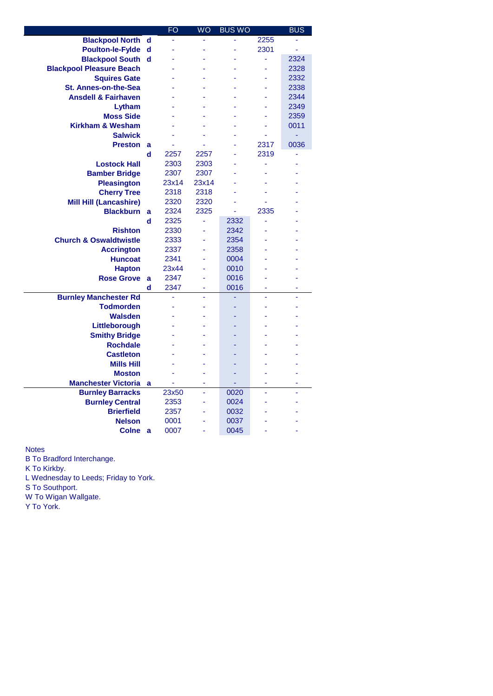|                                   |          | FO    | <b>WO</b> | <b>BUS WO</b> |      | <b>BUS</b> |
|-----------------------------------|----------|-------|-----------|---------------|------|------------|
| <b>Blackpool North</b>            | d        | ä     | ÷,        |               | 2255 | ä          |
| <b>Poulton-le-Fylde</b>           | d        |       | ä,        |               | 2301 | ä,         |
| <b>Blackpool South</b>            | d        |       |           |               | ä,   | 2324       |
| <b>Blackpool Pleasure Beach</b>   |          |       |           |               |      | 2328       |
| <b>Squires Gate</b>               |          |       |           |               |      | 2332       |
| <b>St. Annes-on-the-Sea</b>       |          |       |           |               | ä,   | 2338       |
| <b>Ansdell &amp; Fairhaven</b>    |          |       |           |               |      | 2344       |
| Lytham                            |          |       |           |               |      | 2349       |
| <b>Moss Side</b>                  |          |       |           |               | ä,   | 2359       |
| <b>Kirkham &amp; Wesham</b>       |          |       |           |               |      | 0011       |
| <b>Salwick</b>                    |          |       |           |               | ٠    | ÷,         |
| <b>Preston</b>                    | a        | ä     |           |               | 2317 | 0036       |
|                                   | d        | 2257  | 2257      | ä,            | 2319 | ٠          |
| <b>Lostock Hall</b>               |          | 2303  | 2303      |               | ٠    |            |
| <b>Bamber Bridge</b>              |          | 2307  | 2307      |               |      |            |
| <b>Pleasington</b>                |          | 23x14 | 23x14     |               |      |            |
| <b>Cherry Tree</b>                |          | 2318  | 2318      |               | ÷    |            |
| <b>Mill Hill (Lancashire)</b>     |          | 2320  | 2320      |               |      |            |
| <b>Blackburn</b>                  | a        | 2324  | 2325      | ä,            | 2335 |            |
|                                   | d        | 2325  | ä,        | 2332          | ä,   |            |
| <b>Rishton</b>                    |          | 2330  | ÷,        | 2342          |      |            |
| <b>Church &amp; Oswaldtwistle</b> |          | 2333  |           | 2354          |      |            |
| <b>Accrington</b>                 |          | 2337  |           | 2358          |      |            |
| <b>Huncoat</b>                    |          | 2341  | L,        | 0004          |      |            |
| <b>Hapton</b>                     |          | 23x44 | ä,        | 0010          |      |            |
| <b>Rose Grove</b>                 | a        | 2347  |           | 0016          |      |            |
|                                   | d        | 2347  |           | 0016          |      |            |
| <b>Burnley Manchester Rd</b>      |          | ä,    | ä,        |               | ä,   | ä,         |
| <b>Todmorden</b>                  |          |       |           |               |      |            |
| <b>Walsden</b>                    |          |       |           |               |      |            |
| Littleborough                     |          |       |           |               |      |            |
| <b>Smithy Bridge</b>              |          |       |           |               |      |            |
| <b>Rochdale</b>                   |          |       |           |               |      |            |
| <b>Castleton</b>                  |          |       |           |               |      |            |
| <b>Mills Hill</b>                 |          |       |           |               |      |            |
| <b>Moston</b>                     |          |       |           |               |      |            |
| <b>Manchester Victoria</b>        | a        | ä,    | L,        | ÷.<br>0020    |      |            |
| <b>Burnley Barracks</b>           |          | 23x50 |           |               |      |            |
| <b>Burnley Central</b>            |          | 2353  | ä,        | 0024          |      |            |
| <b>Brierfield</b>                 |          | 2357  | ä,        | 0032          |      |            |
| <b>Nelson</b>                     |          | 0001  |           | 0037          |      |            |
| <b>Colne</b>                      | <b>a</b> | 0007  | ä,        | 0045          |      |            |

Notes

B To Bradford Interchange.

K To Kirkby.

L Wednesday to Leeds; Friday to York.

S To Southport.

W To Wigan Wallgate.

Y To York.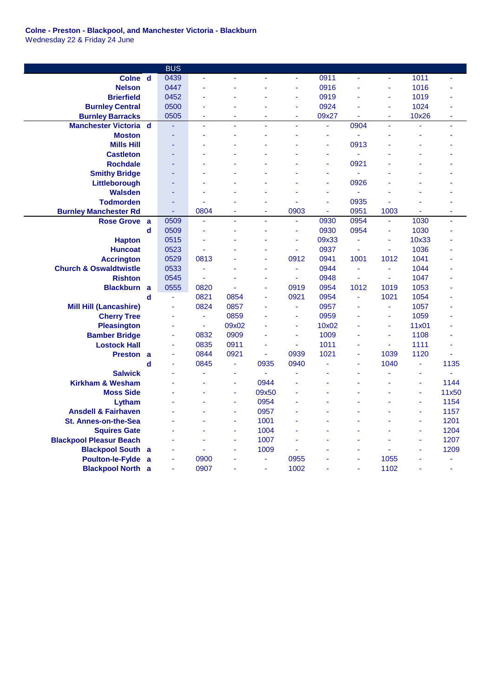## **Colne - Preston - Blackpool, and Manchester Victoria - Blackburn** Wednesday 22 & Friday 24 June

|                                   |   | <b>BUS</b>     |      |                     |                |      |          |      |      |        |                       |
|-----------------------------------|---|----------------|------|---------------------|----------------|------|----------|------|------|--------|-----------------------|
| Colne d                           |   | 0439           | ä,   |                     | ä,             | ä,   | 0911     | ä,   | ä,   | 1011   | ä,                    |
| <b>Nelson</b>                     |   | 0447           | L,   |                     |                | ä,   | 0916     | ä,   | ä,   | 1016   |                       |
| <b>Brierfield</b>                 |   | 0452           | ä,   |                     |                | L,   | 0919     |      | ä,   | 1019   |                       |
| <b>Burnley Central</b>            |   | 0500           | L,   |                     |                | ä,   | 0924     |      | ä,   | 1024   |                       |
| <b>Burnley Barracks</b>           |   | 0505           | i,   |                     |                | ä,   | 09x27    |      | ä,   | 10x26  |                       |
| <b>Manchester Victoria</b>        | d |                | ä,   |                     |                | L,   | ä,       | 0904 | ä,   |        | ä,                    |
| <b>Moston</b>                     |   |                | L,   |                     |                |      | ä,       |      |      | ä,     |                       |
| <b>Mills Hill</b>                 |   |                |      |                     |                |      | ä,       | 0913 |      |        |                       |
| <b>Castleton</b>                  |   |                |      |                     |                |      | ä,       | ÷,   |      |        |                       |
| <b>Rochdale</b>                   |   |                |      |                     |                |      | ä,       | 0921 |      |        |                       |
| <b>Smithy Bridge</b>              |   |                |      |                     |                |      | ä,       | ÷    |      |        |                       |
| Littleborough                     |   |                | Ĺ,   |                     |                |      | ä,       | 0926 |      |        |                       |
| Walsden                           |   |                | L,   |                     |                | L,   | ä,       |      |      |        |                       |
| <b>Todmorden</b>                  |   |                |      |                     |                |      | ä,       | 0935 |      |        |                       |
| <b>Burnley Manchester Rd</b>      |   | $\blacksquare$ | 0804 | ٠                   | $\sim$         | 0903 | $\omega$ | 0951 | 1003 | ÷      | ٠                     |
| <b>Rose Grove</b>                 | a | 0509           | ä,   | ä,                  | ÷.             | ä,   | 0930     | 0954 | ä,   | 1030   | ÷.                    |
|                                   | d | 0509           | L,   | ٠                   |                | Ξ    | 0930     | 0954 | ä,   | 1030   |                       |
| <b>Hapton</b>                     |   | 0515           | ä,   |                     |                | ä,   | 09x33    |      | ä,   | 10x33  |                       |
| <b>Huncoat</b>                    |   | 0523           | L.   |                     |                | ÷.   | 0937     | ä,   | ä,   | 1036   |                       |
| <b>Accrington</b>                 |   | 0529           | 0813 |                     |                | 0912 | 0941     | 1001 | 1012 | 1041   |                       |
| <b>Church &amp; Oswaldtwistle</b> |   | 0533           | ä,   |                     | $\blacksquare$ | ä,   | 0944     | ä,   | ä,   | 1044   |                       |
| <b>Rishton</b>                    |   | 0545           | ä,   |                     |                | ä,   | 0948     |      | ä,   | 1047   |                       |
| <b>Blackburn</b>                  | a | 0555           | 0820 |                     | ä,             | 0919 | 0954     | 1012 | 1019 | 1053   |                       |
|                                   | d | ä,             | 0821 | 0854                | ä,             | 0921 | 0954     | ä,   | 1021 | 1054   |                       |
| <b>Mill Hill (Lancashire)</b>     |   | ä,             | 0824 | 0857                |                | ÷.   | 0957     |      | ÷,   | 1057   |                       |
| <b>Cherry Tree</b>                |   |                | ä,   | 0859                |                | L,   | 0959     |      | ä,   | 1059   |                       |
| <b>Pleasington</b>                |   |                | ä,   | 09x02               |                | ä,   | 10x02    |      | ä,   | 11x01  |                       |
| <b>Bamber Bridge</b>              |   | ä,             | 0832 | 0909                |                | ä,   | 1009     |      | ä,   | 1108   |                       |
| <b>Lostock Hall</b>               |   | ä,             | 0835 | 0911                |                | Ξ    | 1011     |      | ä,   | 1111   |                       |
| <b>Preston</b>                    | a | ä,             | 0844 | 0921                | $\blacksquare$ | 0939 | 1021     | ٠    | 1039 | 1120   | ÷                     |
|                                   | d | ä,             | 0845 | $\blacksquare$      | 0935           | 0940 | ä,       | ä,   | 1040 | ä,     | 1135                  |
| <b>Salwick</b>                    |   |                | i,   | $\sim$              | $\blacksquare$ | ä,   |          |      | L,   | ä,     | $\tilde{\phantom{a}}$ |
| <b>Kirkham &amp; Wesham</b>       |   |                | i,   | $\bar{\phantom{a}}$ | 0944           |      |          |      | ä,   | ä,     | 1144                  |
| <b>Moss Side</b>                  |   |                |      | $\sim$              | 09x50          |      |          |      |      | $\sim$ | 11x50                 |
| Lytham                            |   |                | ä,   | $\sim$              | 0954           | ä,   |          |      |      | ä,     | 1154                  |
| <b>Ansdell &amp; Fairhaven</b>    |   |                | L,   | $\sim$              | 0957           |      |          |      |      | ÷      | 1157                  |
| <b>St. Annes-on-the-Sea</b>       |   |                |      | ä,                  | 1001           |      |          |      |      | ä,     | 1201                  |
| <b>Squires Gate</b>               |   |                |      | J.                  | 1004           |      |          |      |      | ÷      | 1204                  |
| <b>Blackpool Pleasur Beach</b>    |   |                | ä,   | J.                  | 1007           |      |          |      |      | ä,     | 1207                  |
| <b>Blackpool South</b>            | a |                | ä    | ä,                  | 1009           |      |          |      |      | ä,     | 1209                  |
| <b>Poulton-le-Fylde</b>           | a |                | 0900 |                     |                | 0955 |          |      | 1055 |        |                       |
| <b>Blackpool North</b>            | a | ä,             | 0907 |                     | ä,             | 1002 |          |      | 1102 |        | ٠                     |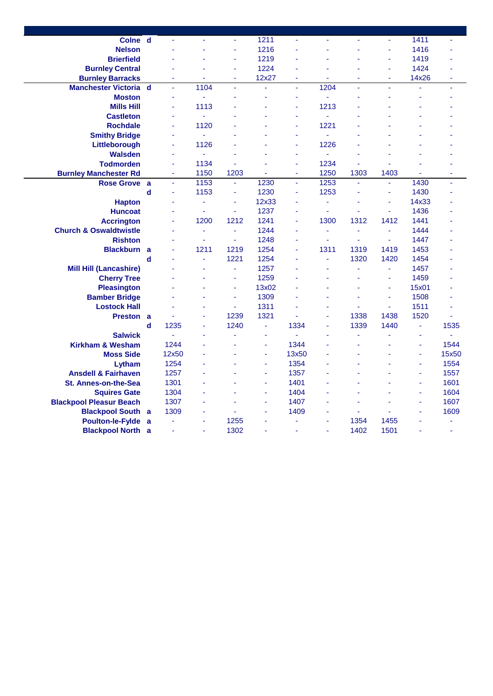| Colne d                                           |                  |                     | ä,           | ÷.                       | 1211       | ÷                   |              | $\tilde{\phantom{a}}$ | ÷.           | 1411  | ä,             |
|---------------------------------------------------|------------------|---------------------|--------------|--------------------------|------------|---------------------|--------------|-----------------------|--------------|-------|----------------|
| <b>Nelson</b>                                     |                  |                     | ä,           |                          | 1216       |                     |              |                       |              | 1416  |                |
| <b>Brierfield</b>                                 |                  |                     |              | í,                       | 1219       |                     |              |                       | ä,           | 1419  |                |
| <b>Burnley Central</b>                            |                  |                     |              | ä,                       | 1224       |                     |              |                       | ä,           | 1424  |                |
| <b>Burnley Barracks</b>                           |                  |                     | ä,           | ÷,                       | 12x27      | ä,                  | ä,           |                       | ä,           | 14x26 |                |
| <b>Manchester Victoria d</b>                      |                  | ä,                  | 1104         | $\omega$                 | ä,         | ä,                  | 1204         | ä,                    | ä,           | ä,    | ä,             |
| <b>Moston</b>                                     |                  | Ξ                   | ÷,           |                          | ä,         | ä,                  | ä,           |                       |              |       |                |
| <b>Mills Hill</b>                                 |                  | ä,                  | 1113         |                          |            |                     | 1213         |                       |              |       |                |
| <b>Castleton</b>                                  |                  | ä,                  | ÷.           |                          |            |                     | ä,           |                       |              |       |                |
| <b>Rochdale</b>                                   |                  | ä,                  | 1120         |                          |            |                     | 1221         |                       |              |       |                |
| <b>Smithy Bridge</b>                              |                  | ä,                  | ÷.           |                          |            |                     | ä,           |                       |              |       |                |
| Littleborough                                     |                  | ä,                  | 1126         |                          |            |                     | 1226         |                       |              |       |                |
| <b>Walsden</b>                                    |                  | L,                  | ÷.           |                          |            |                     | ä,           |                       |              |       |                |
| <b>Todmorden</b>                                  |                  | L,                  | 1134         | 1203                     |            |                     | 1234<br>1250 | L,<br>1303            | 1403         |       |                |
| <b>Burnley Manchester Rd</b><br><b>Rose Grove</b> |                  | Ξ<br>$\blacksquare$ | 1150<br>1153 | $\omega$                 | ä,<br>1230 | ٠<br>$\blacksquare$ | 1253         | $\omega$              | ÷.           | 1430  | ä,<br>ä,       |
|                                                   | a<br>$\mathbf d$ | ä,                  | 1153         | $\overline{\phantom{a}}$ | 1230       | ٠                   | 1253         | ä,                    | ä,           | 1430  |                |
|                                                   |                  | ä                   | ä,           | ä,                       | 12x33      |                     | ä,           | ä,                    | ä,           | 14x33 |                |
| <b>Hapton</b><br><b>Huncoat</b>                   |                  | ä,                  | ä,           | ÷,                       | 1237       | ÷                   | ä,           | ä,                    | ä,           | 1436  |                |
| <b>Accrington</b>                                 |                  | ä,                  | 1200         | 1212                     | 1241       | ä,                  | 1300         | 1312                  | 1412         | 1441  |                |
| <b>Church &amp; Oswaldtwistle</b>                 |                  | ä,                  |              | ä,                       | 1244       | ä,                  | ä,           | ä,                    |              | 1444  |                |
| <b>Rishton</b>                                    |                  | ä,                  | ٠<br>$\sim$  | $\omega$                 | 1248       | ٠                   | ä,           | ÷.                    | $\sim$       | 1447  |                |
| <b>Blackburn</b>                                  | $\mathbf{a}$     | ä                   | 1211         | 1219                     | 1254       | ä,                  | 1311         | 1319                  | 1419         | 1453  |                |
|                                                   | d                |                     | $\sim$       | 1221                     | 1254       |                     | L,           | 1320                  | 1420         | 1454  |                |
| <b>Mill Hill (Lancashire)</b>                     |                  |                     | ä,           | $\blacksquare$           | 1257       |                     | ä,           | ä,                    | ÷,           | 1457  |                |
| <b>Cherry Tree</b>                                |                  |                     | ä,           | ä,                       | 1259       |                     | ä,           | ä,                    | ä,           | 1459  |                |
| <b>Pleasington</b>                                |                  |                     | ä,           | ÷,                       | 13x02      |                     | ä,           | ä,                    | ä,           | 15x01 |                |
| <b>Bamber Bridge</b>                              |                  |                     | ÷,           | ÷.                       | 1309       |                     |              | ä,                    | ä,           | 1508  |                |
| <b>Lostock Hall</b>                               |                  |                     | ä,           | $\mathbf{r}$             | 1311       |                     | ä,           | ä,                    | $\mathbf{r}$ | 1511  |                |
| <b>Preston</b>                                    | a                | ٠                   | ä,           | 1239                     | 1321       | ٠                   | ä,           | 1338                  | 1438         | 1520  | ٠              |
|                                                   | d                | 1235                | ä,           | 1240                     | ä,         | 1334                | ä,           | 1339                  | 1440         | ä,    | 1535           |
| <b>Salwick</b>                                    |                  | ÷,                  | ÷,           |                          | ä,         |                     |              | ä,                    |              | ä,    | ÷.             |
| <b>Kirkham &amp; Wesham</b>                       |                  | 1244                | ä,           |                          | ä,         | 1344                | ä,           | ä,                    |              | ä,    | 1544           |
| <b>Moss Side</b>                                  |                  | 12x50               | ä,           |                          | ÷          | 13x50               |              | ÷                     |              | ä,    | 15x50          |
| Lytham                                            |                  | 1254                | ä,           |                          | ÷,         | 1354                |              |                       |              | ä,    | 1554           |
| <b>Ansdell &amp; Fairhaven</b>                    |                  | 1257                | ä,           |                          | ÷          | 1357                |              |                       |              | ÷     | 1557           |
| St. Annes-on-the-Sea                              |                  | 1301                | ä,           |                          | ÷,         | 1401                |              |                       |              | ÷,    | 1601           |
| <b>Squires Gate</b>                               |                  | 1304                | ÷,           |                          | ä,         | 1404                |              | ä,                    |              | ä,    | 1604           |
| <b>Blackpool Pleasur Beach</b>                    |                  | 1307                | ÷,           |                          | ä,         | 1407                |              | ٠                     |              | ä,    | 1607           |
| <b>Blackpool South</b>                            | a                | 1309                | ä,           |                          |            | 1409                | L,           | ä,                    |              |       | 1609           |
| <b>Poulton-le-Fylde</b>                           | a                | ä,                  | ä,           | 1255                     | ÷          |                     | ä,           | 1354                  | 1455         | ÷     |                |
| <b>Blackpool North a</b>                          |                  | ä,                  | ÷            | 1302                     | ÷          | ٠                   | ä,           | 1402                  | 1501         | ÷     | $\blacksquare$ |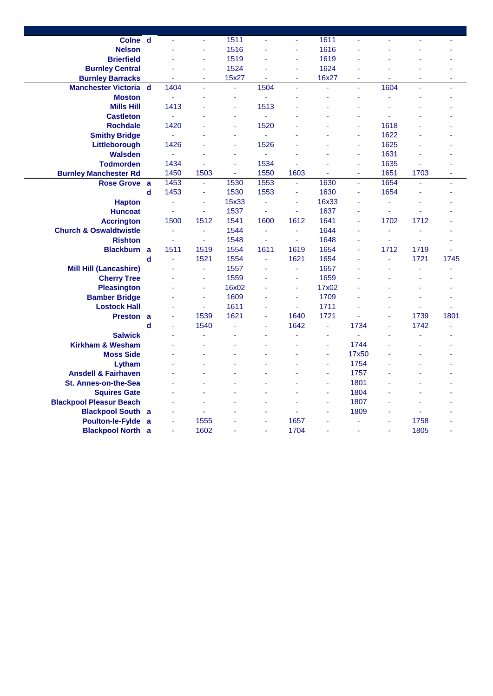| Colne d                           |             | ÷,   | $\blacksquare$           | 1511           | ÷.     | ÷                     | 1611           | ä,             |                | ä,   | ä,   |
|-----------------------------------|-------------|------|--------------------------|----------------|--------|-----------------------|----------------|----------------|----------------|------|------|
| <b>Nelson</b>                     |             | ä,   | $\tilde{\phantom{a}}$    | 1516           | ä,     | $\tilde{\phantom{a}}$ | 1616           | ä,             |                |      |      |
| <b>Brierfield</b>                 |             | ä,   | ÷                        | 1519           |        | ÷                     | 1619           |                |                |      |      |
| <b>Burnley Central</b>            |             |      | ä,                       | 1524           |        | ÷                     | 1624           |                |                |      |      |
| <b>Burnley Barracks</b>           |             | ÷    | ä,                       | 15x27          |        | ٠                     | 16x27          | $\blacksquare$ |                | ٠    | ٠    |
| <b>Manchester Victoria</b>        | $\mathbf d$ | 1404 | ä,                       | ä,             | 1504   | ä,                    | ä,             | ä,             | 1604           | L.   | ÷.   |
| <b>Moston</b>                     |             | ä,   | L,                       | ä,             | ä,     | ÷                     | L              | ä,             |                |      | ä,   |
| <b>Mills Hill</b>                 |             | 1413 |                          |                | 1513   |                       |                |                |                |      |      |
| <b>Castleton</b>                  |             | ÷,   |                          | ä,             | ä,     |                       |                | ä,             |                |      |      |
| <b>Rochdale</b>                   |             | 1420 |                          | ä,             | 1520   |                       |                | ä,             | 1618           |      |      |
| <b>Smithy Bridge</b>              |             | ä,   |                          |                | ä,     |                       |                | ä,             | 1622           |      |      |
| Littleborough                     |             | 1426 |                          |                | 1526   |                       |                | ä,             | 1625           |      |      |
| <b>Walsden</b>                    |             | ä,   |                          | ä,             | ä,     |                       |                | ÷              | 1631           |      |      |
| <b>Todmorden</b>                  |             | 1434 |                          |                | 1534   |                       |                | ÷              | 1635           |      |      |
| <b>Burnley Manchester Rd</b>      |             | 1450 | 1503                     | $\blacksquare$ | 1550   | 1603                  |                | ÷              | 1651           | 1703 | ٠    |
| <b>Rose Grove</b>                 | a           | 1453 | $\omega$                 | 1530           | 1553   | ä,                    | 1630           | ä,             | 1654           | ä,   | ä,   |
|                                   | $\mathbf d$ | 1453 | $\blacksquare$           | 1530           | 1553   | ÷                     | 1630           | ä,             | 1654           |      | ä,   |
| <b>Hapton</b>                     |             | ä,   | ä,                       | 15x33          | ä,     | ÷                     | 16x33          | ÷,             | $\blacksquare$ |      |      |
| <b>Huncoat</b>                    |             | ä,   | ٠                        | 1537           | ä,     | ÷                     | 1637           | ä,             | ÷.             |      |      |
| <b>Accrington</b>                 |             | 1500 | 1512                     | 1541           | 1600   | 1612                  | 1641           | ÷,             | 1702           | 1712 |      |
| <b>Church &amp; Oswaldtwistle</b> |             | ä,   | $\blacksquare$           | 1544           | ä,     | ÷,                    | 1644           | ä,             | $\blacksquare$ | ä,   |      |
| <b>Rishton</b>                    |             | ä,   | $\blacksquare$           | 1548           | ÷.     | ä,                    | 1648           | $\sim$         |                | ÷,   |      |
| <b>Blackburn</b>                  | a           | 1511 | 1519                     | 1554           | 1611   | 1619                  | 1654           | ä,             | 1712           | 1719 | ä,   |
|                                   | $\mathbf d$ | ä,   | 1521                     | 1554           | ä,     | 1621                  | 1654           |                |                | 1721 | 1745 |
| <b>Mill Hill (Lancashire)</b>     |             |      | ÷.                       | 1557           | ä,     | ä,                    | 1657           |                |                | ä,   |      |
| <b>Cherry Tree</b>                |             | ä,   | $\blacksquare$           | 1559           |        | ٠                     | 1659           | ä,             |                |      | L    |
| <b>Pleasington</b>                |             |      | ÷                        | 16x02          |        | ÷                     | 17x02          |                |                |      |      |
| <b>Bamber Bridge</b>              |             |      | ä,                       | 1609           |        | $\tilde{\phantom{a}}$ | 1709           |                |                |      |      |
| <b>Lostock Hall</b>               |             | ٠    | $\blacksquare$           | 1611           | ÷      | ÷                     | 1711           |                |                | ÷.   | ٠    |
| <b>Preston</b>                    | a           | ä,   | 1539                     | 1621           | $\sim$ | 1640                  | 1721           | ٠              |                | 1739 | 1801 |
|                                   | d           | ä,   | 1540                     | ÷.             | ä,     | 1642                  | $\blacksquare$ | 1734           | ä,             | 1742 | ä,   |
| <b>Salwick</b>                    |             |      | ä,                       |                |        |                       | ä,             | ٠              |                |      |      |
| <b>Kirkham &amp; Wesham</b>       |             |      | L,                       |                |        |                       | ä,             | 1744           |                |      |      |
| <b>Moss Side</b>                  |             |      | $\overline{\phantom{a}}$ |                |        |                       | ä,             | 17x50          |                |      |      |
| Lytham                            |             |      |                          |                |        |                       | ä,             | 1754           |                |      |      |
| <b>Ansdell &amp; Fairhaven</b>    |             |      |                          |                |        |                       | L,             | 1757           |                |      |      |
| St. Annes-on-the-Sea              |             |      |                          |                |        |                       | ä,             | 1801           |                |      |      |
| <b>Squires Gate</b>               |             |      |                          |                |        |                       | $\blacksquare$ | 1804           |                |      |      |
| <b>Blackpool Pleasur Beach</b>    |             |      |                          |                |        |                       | ä,             | 1807           |                |      |      |
| <b>Blackpool South</b>            | a           | ä,   | L,                       |                |        |                       | ä,             | 1809           |                | ٠    |      |
| <b>Poulton-le-Fylde</b>           | a           | ä,   | 1555                     |                | ä,     | 1657                  | ä,             | ٠              | ٠              | 1758 |      |
| <b>Blackpool North</b>            | a           | ä,   | 1602                     |                | $\sim$ | 1704                  | L              | $\sim$         | $\sim$         | 1805 | ۳    |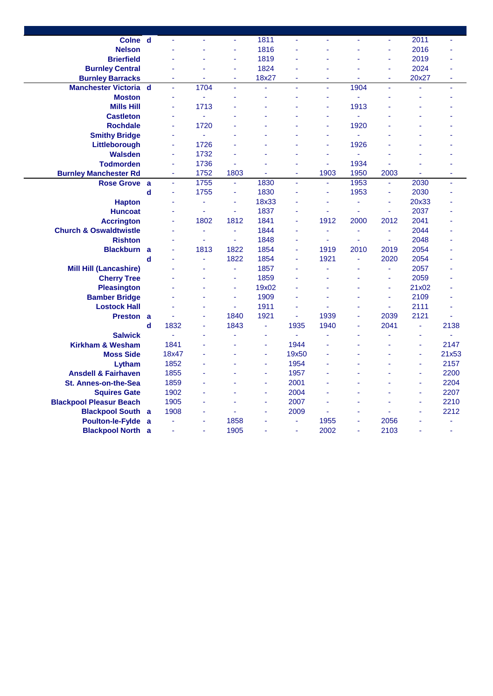| Colne d                           |             |       | $\sim$                   | $\tilde{\phantom{a}}$ | 1811           | ä,                       | ä,             | ä,     | $\tilde{\phantom{a}}$ | 2011        | $\tilde{\phantom{a}}$ |
|-----------------------------------|-------------|-------|--------------------------|-----------------------|----------------|--------------------------|----------------|--------|-----------------------|-------------|-----------------------|
|                                   |             |       |                          |                       | 1816           |                          |                |        |                       | 2016        |                       |
| <b>Nelson</b>                     |             |       |                          | ä,                    | 1819           |                          | L              |        |                       | 2019        |                       |
| <b>Brierfield</b>                 |             |       |                          |                       | 1824           |                          |                |        | ÷                     |             |                       |
| <b>Burnley Central</b>            |             |       |                          | ٠                     |                |                          |                |        | ٠                     | 2024        |                       |
| <b>Burnley Barracks</b>           |             |       |                          | ä,                    | 18x27<br>ä,    | ä,                       | ä,<br>ä,       |        | ä,                    | 20x27<br>L, | ä,                    |
| <b>Manchester Victoria d</b>      |             | ä,    | 1704                     | ä,                    |                | ä,                       |                | 1904   | $\omega$              |             | ÷.                    |
| <b>Moston</b>                     |             | ÷     | ÷,                       |                       |                | ä,                       | ä              | ä,     |                       |             |                       |
| <b>Mills Hill</b>                 |             | ä,    | 1713                     |                       |                |                          | ä,             | 1913   |                       |             |                       |
| <b>Castleton</b>                  |             | ä,    | ÷.                       |                       |                |                          | ä,             | ä,     |                       |             |                       |
| <b>Rochdale</b>                   |             | ä,    | 1720                     |                       |                |                          | L,             | 1920   |                       |             |                       |
| <b>Smithy Bridge</b>              |             | ä,    | ÷.                       |                       |                |                          | ä              | ä,     |                       |             |                       |
| Littleborough                     |             | ä,    | 1726                     |                       |                |                          | L,             | 1926   |                       |             |                       |
| <b>Walsden</b>                    |             | ä,    | 1732                     |                       |                |                          | ä,             | ä,     |                       |             |                       |
| <b>Todmorden</b>                  |             | ä,    | 1736                     |                       |                |                          | L,             | 1934   |                       |             |                       |
| <b>Burnley Manchester Rd</b>      |             | Ξ     | 1752                     | 1803                  | ä,             | Ξ                        | 1903           | 1950   | 2003                  | ä,          | ä,                    |
| <b>Rose Grove</b>                 | a           | ä,    | 1755                     | ä,                    | 1830           | ä,                       | ä,             | 1953   | ä,                    | 2030        | ä,                    |
|                                   | $\mathbf d$ | ä,    | 1755                     | ä,                    | 1830           | ÷                        | ä,             | 1953   | $\sim$                | 2030        | ä,                    |
| <b>Hapton</b>                     |             | ä,    | Ξ                        | $\blacksquare$        | 18x33          | ÷                        | ä,             | ä,     | $\sim$                | 20x33       |                       |
| <b>Huncoat</b>                    |             | ä,    | ä,                       | ÷.                    | 1837           | ٠                        | ä,             | ä,     | ÷.                    | 2037        |                       |
| <b>Accrington</b>                 |             | ä,    | 1802                     | 1812                  | 1841           | ä,                       | 1912           | 2000   | 2012                  | 2041        |                       |
| <b>Church &amp; Oswaldtwistle</b> |             | ä,    | Ξ                        | ä,                    | 1844           | ä,                       | $\blacksquare$ | Ξ      | ÷.                    | 2044        |                       |
| <b>Rishton</b>                    |             | ä,    | $\sim$                   | ä,                    | 1848           | ٠                        | ä,             | ÷,     | ä,                    | 2048        |                       |
| <b>Blackburn</b>                  | a           | ä,    | 1813                     | 1822                  | 1854           | $\overline{\phantom{a}}$ | 1919           | 2010   | 2019                  | 2054        |                       |
|                                   | $\mathbf d$ |       | ٠                        | 1822                  | 1854           | ٠                        | 1921           | ÷.     | 2020                  | 2054        |                       |
| <b>Mill Hill (Lancashire)</b>     |             |       | ä,                       | ä,                    | 1857           | ä,                       | ä,             | ä,     | ÷.                    | 2057        |                       |
| <b>Cherry Tree</b>                |             |       | $\overline{\phantom{a}}$ | $\blacksquare$        | 1859           | ٠                        | ä,             | ä,     | $\blacksquare$        | 2059        |                       |
| <b>Pleasington</b>                |             |       |                          | ä,                    | 19x02          |                          |                |        | $\sim$                | 21x02       |                       |
| <b>Bamber Bridge</b>              |             |       | ä,                       | ÷.                    | 1909           | ٠                        |                | ÷      | <b>A</b>              | 2109        |                       |
| <b>Lostock Hall</b>               |             |       | ä,                       | ÷.                    | 1911           | ٠                        | ä,             | ÷      | ä,                    | 2111        |                       |
| <b>Preston</b>                    | a           |       | ä,                       | 1840                  | 1921           | ä,                       | 1939           | ÷,     | 2039                  | 2121        | $\sim$                |
|                                   | d           | 1832  | ä,                       | 1843                  | ä,             | 1935                     | 1940           | $\sim$ | 2041                  | ä,          | 2138                  |
| <b>Salwick</b>                    |             | ä,    | ä,                       |                       | ٠              | ä,                       | L,             |        |                       | ٠           | ÷.                    |
| <b>Kirkham &amp; Wesham</b>       |             | 1841  |                          |                       | ä,             | 1944                     | L,             |        |                       | ä,          | 2147                  |
| <b>Moss Side</b>                  |             | 18x47 | L,                       |                       | $\blacksquare$ | 19x50                    |                |        |                       | ä,          | 21x53                 |
| Lytham                            |             | 1852  |                          |                       | ä,             | 1954                     |                |        |                       | ä,          | 2157                  |
| <b>Ansdell &amp; Fairhaven</b>    |             | 1855  |                          |                       | ÷              | 1957                     |                |        |                       | ÷.          | 2200                  |
| <b>St. Annes-on-the-Sea</b>       |             | 1859  |                          |                       | ä,             | 2001                     |                |        |                       | ä,          | 2204                  |
| <b>Squires Gate</b>               |             | 1902  |                          |                       | ä,             | 2004                     |                |        |                       | ä,          | 2207                  |
| <b>Blackpool Pleasur Beach</b>    |             | 1905  |                          |                       | ä,             | 2007                     |                |        |                       | ä,          | 2210                  |
| <b>Blackpool South</b>            | a           | 1908  | ÷,                       |                       | ä,             | 2009                     |                | ä,     |                       | ä,          | 2212                  |
| <b>Poulton-le-Fylde</b>           | a           | ä,    | ä,                       | 1858                  | ä,             | ä,                       | 1955           | ä,     | 2056                  | ä,          | ä,                    |
| <b>Blackpool North a</b>          |             | ä,    | ÷                        | 1905                  | ä,             | Ξ                        | 2002           | ä,     | 2103                  | ä,          | $\blacksquare$        |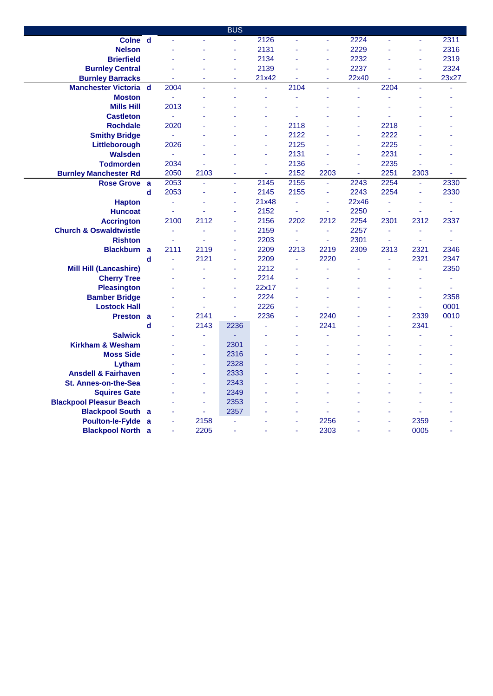|                                             |             |      |                | <b>BUS</b>     |               |      |                |                |                |                      |                |
|---------------------------------------------|-------------|------|----------------|----------------|---------------|------|----------------|----------------|----------------|----------------------|----------------|
| Colne d                                     |             | ä,   | ä,             | $\blacksquare$ | 2126          | Ξ    | $\blacksquare$ | 2224           | ä,             | ä,                   | 2311           |
| <b>Nelson</b>                               |             |      |                |                | 2131          |      | ä              | 2229           |                | ä,                   | 2316           |
| <b>Brierfield</b>                           |             |      |                | ä,             | 2134          |      | ä              | 2232           |                | ä,                   | 2319           |
| <b>Burnley Central</b>                      |             |      | L,             | ÷.             | 2139          |      | ä              | 2237           |                | ä,                   | 2324           |
| <b>Burnley Barracks</b>                     |             |      | ä,             | ÷              | 21x42         | ٠    | ä              | 22x40          |                | ä,                   | 23x27          |
| <b>Manchester Victoria</b>                  | $\mathbf d$ | 2004 | ÷,             | ÷              | ä,            | 2104 | ä,             | $\blacksquare$ | 2204           |                      | ä,             |
| <b>Moston</b>                               |             | ÷,   | ä,             |                | ٠             | ä,   | L              | ä,             | ٠              | ÷                    |                |
| <b>Mills Hill</b>                           |             | 2013 |                |                |               |      |                | ä,             |                |                      |                |
| <b>Castleton</b>                            |             | ä,   |                |                |               |      |                | ä,             |                |                      |                |
| <b>Rochdale</b>                             |             | 2020 |                |                |               | 2118 |                | ٠              | 2218           |                      |                |
| <b>Smithy Bridge</b>                        |             | ä,   |                |                | ä,            | 2122 |                | $\sim$         | 2222           |                      |                |
| Littleborough                               |             | 2026 |                |                | ä,            | 2125 |                | ÷              | 2225           |                      |                |
| Walsden                                     |             | ä,   |                |                | ä,            | 2131 |                | $\sim$         | 2231           |                      |                |
| <b>Todmorden</b>                            |             | 2034 |                |                | ٠             | 2136 |                | ÷.             | 2235           |                      |                |
| <b>Burnley Manchester Rd</b>                |             | 2050 | 2103           | ä,             | ä,            | 2152 | 2203           | ä,             | 2251           | 2303                 | ä,             |
| <b>Rose Grove</b>                           | a           | 2053 | $\omega$       | ä,             | 2145          | 2155 | ä,             | 2243           | 2254           | ä,                   | 2330           |
|                                             | d           | 2053 |                | ä,             | 2145          | 2155 | ä,             | 2243           | 2254           | ÷,                   | 2330           |
| <b>Hapton</b>                               |             | ä,   |                |                | 21x48         | ٠    | ä              | 22x46          | ä,             | ٠                    | ٠              |
| <b>Huncoat</b>                              |             | ä,   |                |                | 2152          | ä,   | L,             | 2250           | ä,             | ä,                   | ä,             |
| <b>Accrington</b>                           |             | 2100 | 2112           | ä,             | 2156          | 2202 | 2212           | 2254           | 2301           | 2312                 | 2337           |
| <b>Church &amp; Oswaldtwistle</b>           |             | ä,   |                |                | 2159          | ٠    | $\blacksquare$ | 2257           | ÷,             | $\sim$               | ä,             |
| <b>Rishton</b>                              |             | ä,   |                |                | 2203          | ä,   | ä,             | 2301           |                | ä,                   | ä,             |
| <b>Blackburn</b>                            | a           | 2111 | 2119           |                | 2209          | 2213 | 2219           | 2309           | 2313           | 2321                 | 2346           |
|                                             | d           | ä,   | 2121           | ä,             | 2209          | ٠    | 2220           | ä,             | $\blacksquare$ | 2321                 | 2347           |
| <b>Mill Hill (Lancashire)</b>               |             |      |                |                | 2212          |      |                |                |                | ä,                   | 2350           |
| <b>Cherry Tree</b>                          |             |      | L,             | ÷.<br>ä,       | 2214          |      |                |                |                | ä,                   | ä,             |
| <b>Pleasington</b>                          |             |      | L,             |                | 22x17<br>2224 |      |                |                |                | ä,                   | $\blacksquare$ |
| <b>Bamber Bridge</b><br><b>Lostock Hall</b> |             |      | ä<br>L,        | ä,             | 2226          |      |                |                |                | ä,<br>$\blacksquare$ | 2358<br>0001   |
| <b>Preston</b>                              | a           | ä,   | 2141           | ä              | 2236          | ä,   | 2240           |                | ä,             | 2339                 | 0010           |
|                                             | d           | ä,   | 2143           | 2236           | ä,            | ä,   | 2241           |                | ä,             | 2341                 | ä,             |
| <b>Salwick</b>                              |             |      | ä,             | $\blacksquare$ |               |      | L,             |                |                |                      |                |
| <b>Kirkham &amp; Wesham</b>                 |             |      | ä,             | 2301           |               |      |                |                |                |                      |                |
| <b>Moss Side</b>                            |             |      | ÷              | 2316           |               |      |                |                |                |                      |                |
| Lytham                                      |             |      | $\blacksquare$ | 2328           |               |      | L              |                |                |                      |                |
| <b>Ansdell &amp; Fairhaven</b>              |             |      | $\sim$         | 2333           |               |      |                |                |                |                      |                |
| <b>St. Annes-on-the-Sea</b>                 |             |      | ٠              | 2343           |               |      |                |                |                |                      |                |
| <b>Squires Gate</b>                         |             |      | ä,             | 2349           |               |      |                |                |                |                      |                |
| <b>Blackpool Pleasur Beach</b>              |             |      | $\sim$         | 2353           |               |      |                |                |                |                      |                |
| <b>Blackpool South a</b>                    |             |      | ä,             | 2357           |               |      |                |                |                |                      |                |
| <b>Poulton-le-Fylde</b>                     | a           | ä,   | 2158           |                |               | ÷    | 2256           |                |                | 2359                 |                |
| <b>Blackpool North</b>                      | a           | ä,   | 2205           |                |               | ä,   | 2303           |                |                | 0005                 | ä,             |
|                                             |             |      |                |                |               |      |                |                |                |                      |                |